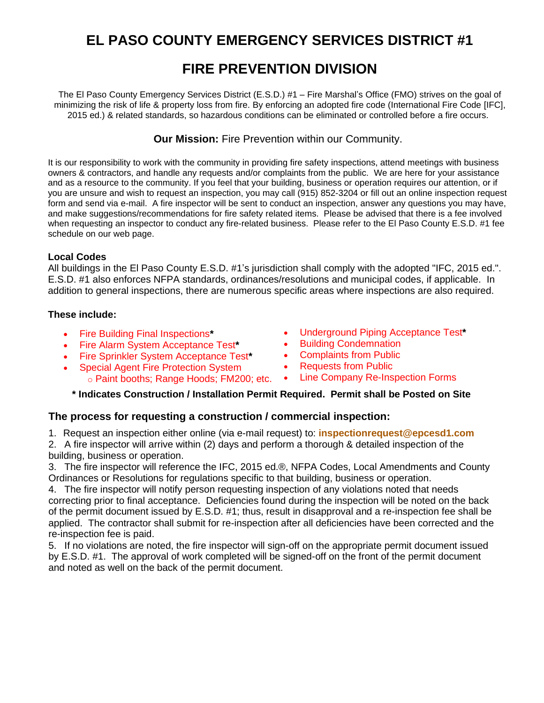# **EL PASO COUNTY EMERGENCY SERVICES DISTRICT #1**

## **FIRE PREVENTION DIVISION**

The El Paso County Emergency Services District (E.S.D.) #1 – Fire Marshal's Office (FMO) strives on the goal of minimizing the risk of life & property loss from fire. By enforcing an adopted fire code (International Fire Code [IFC], 2015 ed.) & related standards, so hazardous conditions can be eliminated or controlled before a fire occurs.

**Our Mission:** Fire Prevention within our Community.

It is our responsibility to work with the community in providing fire safety inspections, attend meetings with business owners & contractors, and handle any requests and/or complaints from the public. We are here for your assistance and as a resource to the community. If you feel that your building, business or operation requires our attention, or if you are unsure and wish to request an inspection, you may call (915) 852-3204 or fill out an online inspection request form and send via e-mail. A fire inspector will be sent to conduct an inspection, answer any questions you may have, and make suggestions/recommendations for fire safety related items. Please be advised that there is a fee involved when requesting an inspector to conduct any fire-related business. Please refer to the El Paso County E.S.D. #1 fee schedule on our web page.

### **Local Codes**

All buildings in the El Paso County E.S.D. #1's jurisdiction shall comply with the adopted "IFC, 2015 ed.". E.S.D. #1 also enforces NFPA standards, ordinances/resolutions and municipal codes, if applicable. In addition to general inspections, there are numerous specific areas where inspections are also required.

### **These include:**

- Fire Building Final Inspections**\***
- Fire Alarm System Acceptance Test**\***
- Fire Sprinkler System Acceptance Test**\***
- Special Agent Fire Protection System
- Underground Piping Acceptance Test**\***
- Building Condemnation
- Complaints from Public
- Requests from Public
- o [Paint booths; Range Hoods](http://www.elpasotexas.gov/fire/code_enforcement.asp#Building Final Inspections#Building Final Inspections); FM200; etc. Lin[e Company Re-Inspection Forms](http://www.elpasotexas.gov/fire/code_enforcement.asp#Underground/Hydrants#Underground/Hydrants)

## **\* Indicates [Construction / Installatio](http://www.elpasotexas.gov/fire/code_enforcement.asp#Fire Alarm Systems#Fire Alarm Systems)[n P](http://www.elpasotexas.gov/fire/code_enforcement.asp#Sprinkler Systems#Sprinkler Systems)ermit Require[d. Permit shall be Post](http://www.elpasotexas.gov/fire/code_enforcement.asp#Building Condemnation#Building Condemnation)ed on Site**

## **The process for requesting a construction / commer[cial inspection:](http://www.elpasotexas.gov/fire/code_enforcement.asp#Complaints from Public#Complaints from Public)**

1. Request an inspection either online (via e-mail request) to: **[inspectionrequest@epcesd1.com](http://www.elpasotexas.gov/fire/code_enforcement.asp#Complaints from Public#Complaints from Public)**

2. A fire inspector will arrive within (2) days and perform a thorough & detailed inspection of the building, business or operation.

3. The fire inspector will reference the IFC, 2015 ed.®, NFPA Codes, Local Amendments and County Ordinances or Resolutions for regulations specific to that building, business or operation.

4. The fire inspector will notify person requesting inspection [of any violations noted that needs](mailto:inspectionrequest@epcesd1.com) correcting prior to final acceptance. Deficiencies found during the inspection will be noted on the back of the permit document issued by E.S.D. #1; thus, result in disapproval and a re-inspection fee shall be applied. The contractor shall submit for re-inspection after all deficiencies have been corrected and the re-inspection fee is paid.

5. If no violations are noted, the fire inspector will sign-off on the appropriate permit document issued by E.S.D. #1. The approval of work completed will be signed-off on the front of the permit document and noted as well on the back of the permit document.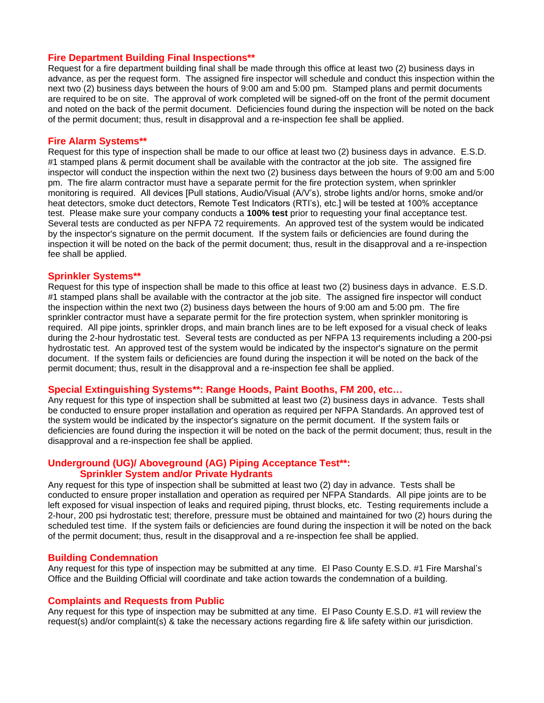#### **Fire Department Building Final Inspections\*\***

Request for a fire department building final shall be made through this office at least two (2) business days in advance, as per the request form. The assigned fire inspector will schedule and conduct this inspection within the next two (2) business days between the hours of 9:00 am and 5:00 pm. Stamped plans and permit documents are required to be on site. The approval of work completed will be signed-off on the front of the permit document and noted on the back of the permit document. Deficiencies found during the inspection will be noted on the back of the permit document; thus, result in disapproval and a re-inspection fee shall be applied.

#### **Fire Alarm Systems\*\***

Request for this type of inspection shall be made to our office at least two (2) business days in advance. E.S.D. #1 stamped plans & permit document shall be available with the contractor at the job site. The assigned fire inspector will conduct the inspection within the next two (2) business days between the hours of 9:00 am and 5:00 pm. The fire alarm contractor must have a separate permit for the fire protection system, when sprinkler monitoring is required. All devices [Pull stations, Audio/Visual (A/V's), strobe lights and/or horns, smoke and/or heat detectors, smoke duct detectors, Remote Test Indicators (RTI's), etc.] will be tested at 100% acceptance test. Please make sure your company conducts a **100% test** prior to requesting your final acceptance test. Several tests are conducted as per NFPA 72 requirements. An approved test of the system would be indicated by the inspector's signature on the permit document. If the system fails or deficiencies are found during the inspection it will be noted on the back of the permit document; thus, result in the disapproval and a re-inspection fee shall be applied.

#### **Sprinkler Systems\*\***

Request for this type of inspection shall be made to this office at least two (2) business days in advance. E.S.D. #1 stamped plans shall be available with the contractor at the job site. The assigned fire inspector will conduct the inspection within the next two (2) business days between the hours of 9:00 am and 5:00 pm. The fire sprinkler contractor must have a separate permit for the fire protection system, when sprinkler monitoring is required. All pipe joints, sprinkler drops, and main branch lines are to be left exposed for a visual check of leaks during the 2-hour hydrostatic test. Several tests are conducted as per NFPA 13 requirements including a 200-psi hydrostatic test. An approved test of the system would be indicated by the inspector's signature on the permit document. If the system fails or deficiencies are found during the inspection it will be noted on the back of the permit document; thus, result in the disapproval and a re-inspection fee shall be applied.

#### **Special Extinguishing Systems\*\*: Range Hoods, Paint Booths, FM 200, etc…**

Any request for this type of inspection shall be submitted at least two (2) business days in advance. Tests shall be conducted to ensure proper installation and operation as required per NFPA Standards. An approved test of the system would be indicated by the inspector's signature on the permit document. If the system fails or deficiencies are found during the inspection it will be noted on the back of the permit document; thus, result in the disapproval and a re-inspection fee shall be applied.

## **Underground (UG)/ Aboveground (AG) Piping Acceptance Test\*\*:**

## **Sprinkler System and/or Private Hydrants**

Any request for this type of inspection shall be submitted at least two (2) day in advance. Tests shall be conducted to ensure proper installation and operation as required per NFPA Standards. All pipe joints are to be left exposed for visual inspection of leaks and required piping, thrust blocks, etc. Testing requirements include a 2-hour, 200 psi hydrostatic test; therefore, pressure must be obtained and maintained for two (2) hours during the scheduled test time. If the system fails or deficiencies are found during the inspection it will be noted on the back of the permit document; thus, result in the disapproval and a re-inspection fee shall be applied.

#### **Building Condemnation**

Any request for this type of inspection may be submitted at any time. El Paso County E.S.D. #1 Fire Marshal's Office and the Building Official will coordinate and take action towards the condemnation of a building.

#### **Complaints and Requests from Public**

Any request for this type of inspection may be submitted at any time. El Paso County E.S.D. #1 will review the request(s) and/or complaint(s) & take the necessary actions regarding fire & life safety within our jurisdiction.